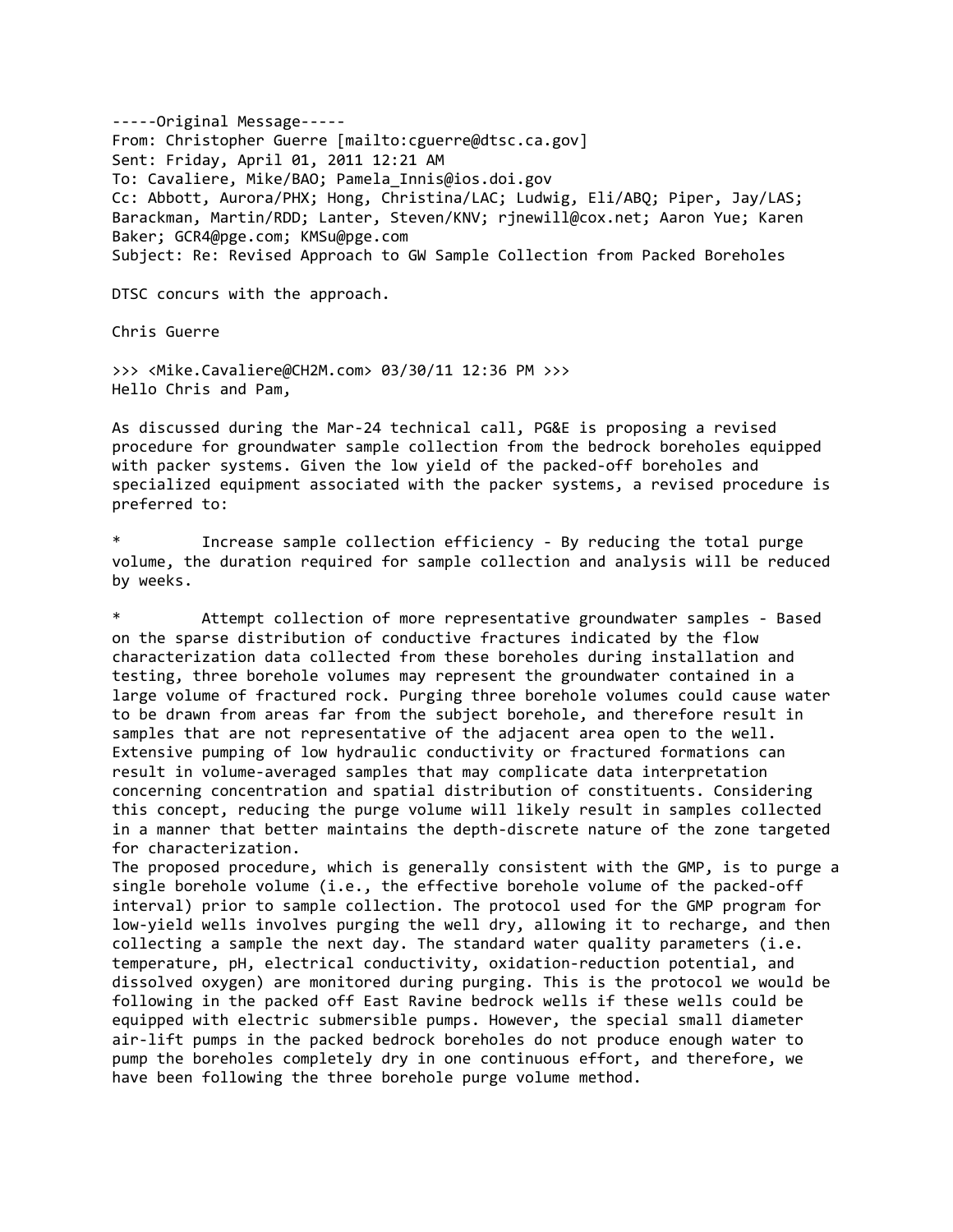‐‐‐‐‐Original Message‐‐‐‐‐ From: Christopher Guerre [mailto:cguerre@dtsc.ca.gov] Sent: Friday, April 01, 2011 12:21 AM To: Cavaliere, Mike/BAO; Pamela\_Innis@ios.doi.gov Cc: Abbott, Aurora/PHX; Hong, Christina/LAC; Ludwig, Eli/ABQ; Piper, Jay/LAS; Barackman, Martin/RDD; Lanter, Steven/KNV; rjnewill@cox.net; Aaron Yue; Karen Baker; GCR4@pge.com; KMSu@pge.com Subject: Re: Revised Approach to GW Sample Collection from Packed Boreholes

DTSC concurs with the approach.

Chris Guerre

>>> <Mike.Cavaliere@CH2M.com> 03/30/11 12:36 PM >>> Hello Chris and Pam,

As discussed during the Mar‐24 technical call, PG&E is proposing a revised procedure for groundwater sample collection from the bedrock boreholes equipped with packer systems. Given the low yield of the packed-off boreholes and specialized equipment associated with the packer systems, a revised procedure is preferred to:

Increase sample collection efficiency - By reducing the total purge volume, the duration required for sample collection and analysis will be reduced by weeks.

Attempt collection of more representative groundwater samples - Based on the sparse distribution of conductive fractures indicated by the flow characterization data collected from these boreholes during installation and testing, three borehole volumes may represent the groundwater contained in a large volume of fractured rock. Purging three borehole volumes could cause water to be drawn from areas far from the subject borehole, and therefore result in samples that are not representative of the adjacent area open to the well. Extensive pumping of low hydraulic conductivity or fractured formations can result in volume‐averaged samples that may complicate data interpretation concerning concentration and spatial distribution of constituents. Considering this concept, reducing the purge volume will likely result in samples collected in a manner that better maintains the depth-discrete nature of the zone targeted for characterization.

The proposed procedure, which is generally consistent with the GMP, is to purge a single borehole volume (i.e., the effective borehole volume of the packed-off interval) prior to sample collection. The protocol used for the GMP program for low-yield wells involves purging the well dry, allowing it to recharge, and then collecting a sample the next day. The standard water quality parameters (i.e. temperature, pH, electrical conductivity, oxidation‐reduction potential, and dissolved oxygen) are monitored during purging. This is the protocol we would be following in the packed off East Ravine bedrock wells if these wells could be equipped with electric submersible pumps. However, the special small diameter air‐lift pumps in the packed bedrock boreholes do not produce enough water to pump the boreholes completely dry in one continuous effort, and therefore, we have been following the three borehole purge volume method.